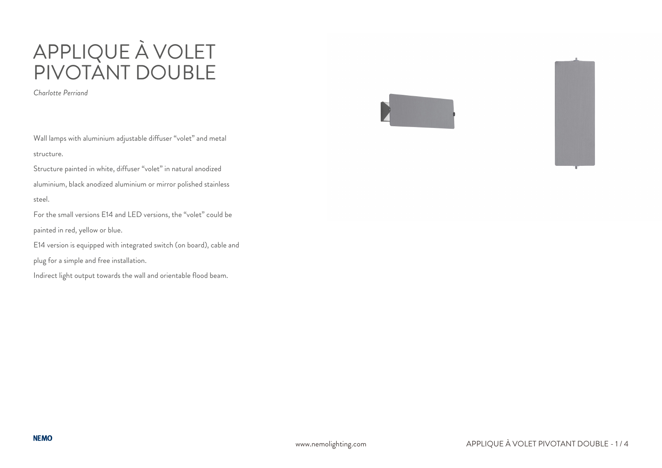# APPLIQUE À VOLET PIVOTANT DOUBLE

*Charlotte Perriand*

Wall lamps with aluminium adjustable diffuser "volet" and metal structure.

Structure painted in white, diffuser "volet" in natural anodized aluminium, black anodized aluminium or mirror polished stainless steel.

For the small versions E14 and LED versions, the "volet" could be painted in red, yellow or blue.

E14 version is equipped with integrated switch (on board), cable and

plug for a simple and free installation.

Indirect light output towards the wall and orientable flood beam.

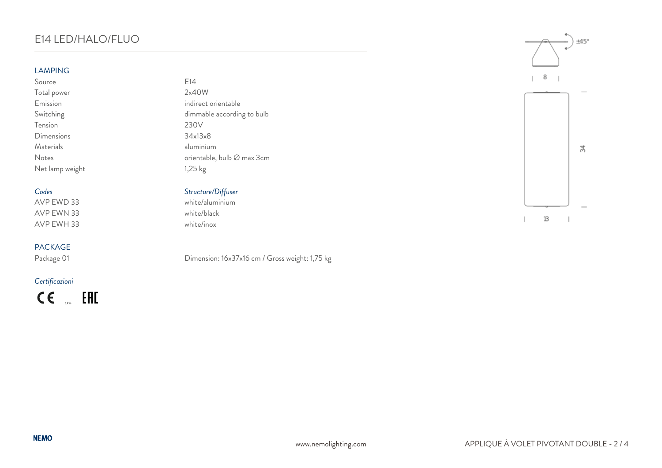# E14 LED/HALO/FLUO

### **LAMPING**

Source E14 Total power 2x40W  $Tension$ <br>  $Dimensions$ <br>  $34x13x8$ Dimensions Materials aluminium Net lamp weight 1,25 kg

AVP EWN 33 white/black AVP EWH 33 white/inox

## PACKAGE

## *Certificazioni*

 $CE$  EHE

Emission indirect orientable Switching dimmable according to bulb<br>Tension 230V Notes orientable, bulb Ø max 3cm

# *Codes Structure/Diffuser*

 $white/aluminium$ 

Package 01 Dimension: 16x37x16 cm / Gross weight: 1,75 kg



 $13\,$  $\overline{\phantom{a}}$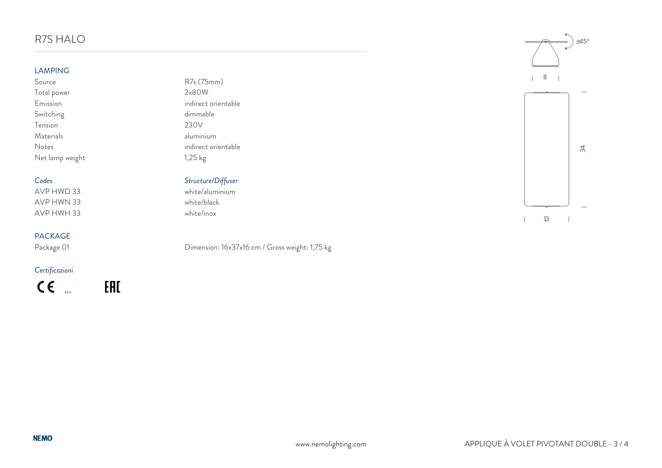# R7S HALO

### LAMPING

| Source          | $R7s$ ( $75mm$ )    |
|-----------------|---------------------|
| Total power     | 2×80W               |
| Emission        | indirect orientable |
| Switching       | dimmable            |
| Tension         | 230V                |
| Materials       | aluminium           |
| Notes           | indirect orientable |
| Net lamp weight | $1,25$ kg           |

AVP HWN 33 white/black AVP HWH 33 white/inox

# PACKAGE<br>Package 01

*Certificazioni*

 $c \in$  $0.2 m$  EAD

| R7s (75mm)      |
|-----------------|
| 2x80W           |
| indirect orient |
| dimmable        |
| 230V            |
| aluminium       |
| indirect orient |
| 1,25 kg         |

# *Codes Structure/Diffuser*

white/aluminium

## Dimension: 16x37x16 cm / Gross weight: 1,75 kg



 $13\,$  $\mathbf{I}$  $\overline{\phantom{a}}$